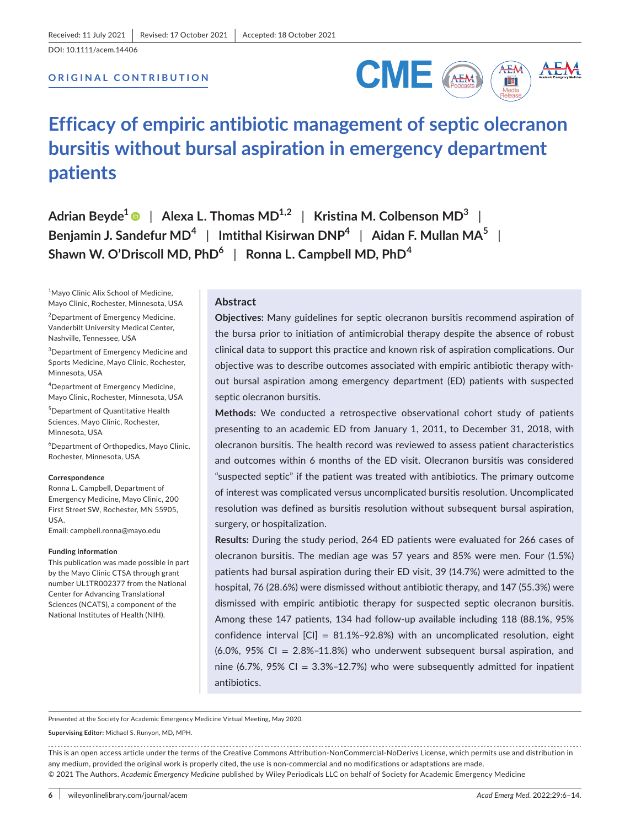DOI: 10.1111/acem.14406

# **ORIGINAL CONTRIBUTION**



# **Efficacy of empiric antibiotic management of septic olecranon bursitis without bursal aspiration in emergency department patients**

**Adrian Beyde1** | **Alexa L. Thomas MD1,2** | **Kristina M. Colbenson MD3** | **Benjamin J. Sandefur MD<sup>4</sup>** | **Imtithal Kisirwan DNP4** | **Aidan F. Mullan MA<sup>5</sup>** | **Shawn W. O'Driscoll MD, PhD6** | **Ronna L. Campbell MD, PhD<sup>4</sup>**

1 Mayo Clinic Alix School of Medicine, Mayo Clinic, Rochester, Minnesota, USA

2 Department of Emergency Medicine, Vanderbilt University Medical Center, Nashville, Tennessee, USA

3 Department of Emergency Medicine and Sports Medicine, Mayo Clinic, Rochester, Minnesota, USA

4 Department of Emergency Medicine, Mayo Clinic, Rochester, Minnesota, USA

5 Department of Quantitative Health Sciences, Mayo Clinic, Rochester, Minnesota, USA

6 Department of Orthopedics, Mayo Clinic, Rochester, Minnesota, USA

#### **Correspondence**

Ronna L. Campbell, Department of Emergency Medicine, Mayo Clinic, 200 First Street SW, Rochester, MN 55905, USA.

Email: [campbell.ronna@mayo.edu](mailto:campbell.ronna@mayo.edu)

#### **Funding information**

This publication was made possible in part by the Mayo Clinic CTSA through grant number UL1TR002377 from the National Center for Advancing Translational Sciences (NCATS), a component of the National Institutes of Health (NIH).

## **Abstract**

**Objectives:** Many guidelines for septic olecranon bursitis recommend aspiration of the bursa prior to initiation of antimicrobial therapy despite the absence of robust clinical data to support this practice and known risk of aspiration complications. Our objective was to describe outcomes associated with empiric antibiotic therapy without bursal aspiration among emergency department (ED) patients with suspected septic olecranon bursitis.

**Methods:** We conducted a retrospective observational cohort study of patients presenting to an academic ED from January 1, 2011, to December 31, 2018, with olecranon bursitis. The health record was reviewed to assess patient characteristics and outcomes within 6 months of the ED visit. Olecranon bursitis was considered "suspected septic" if the patient was treated with antibiotics. The primary outcome of interest was complicated versus uncomplicated bursitis resolution. Uncomplicated resolution was defined as bursitis resolution without subsequent bursal aspiration, surgery, or hospitalization.

**Results:** During the study period, 264 ED patients were evaluated for 266 cases of olecranon bursitis. The median age was 57 years and 85% were men. Four (1.5%) patients had bursal aspiration during their ED visit, 39 (14.7%) were admitted to the hospital, 76 (28.6%) were dismissed without antibiotic therapy, and 147 (55.3%) were dismissed with empiric antibiotic therapy for suspected septic olecranon bursitis. Among these 147 patients, 134 had follow-up available including 118 (88.1%, 95% confidence interval  $\text{[CI]} = 81.1\% - 92.8\%$ ) with an uncomplicated resolution, eight  $(6.0\%$ , 95% CI = 2.8%-11.8%) who underwent subsequent bursal aspiration, and nine (6.7%, 95% CI =  $3.3\%$ -12.7%) who were subsequently admitted for inpatient antibiotics.

Presented at the Society for Academic Emergency Medicine Virtual Meeting, May 2020.

**Supervising Editor:** Michael S. Runyon, MD, MPH.

This is an open access article under the terms of the [Creative Commons Attribution-NonCommercial-NoDerivs](http://creativecommons.org/licenses/by-nc-nd/4.0/) License, which permits use and distribution in any medium, provided the original work is properly cited, the use is non-commercial and no modifications or adaptations are made. © 2021 The Authors. *Academic Emergency Medicine* published by Wiley Periodicals LLC on behalf of Society for Academic Emergency Medicine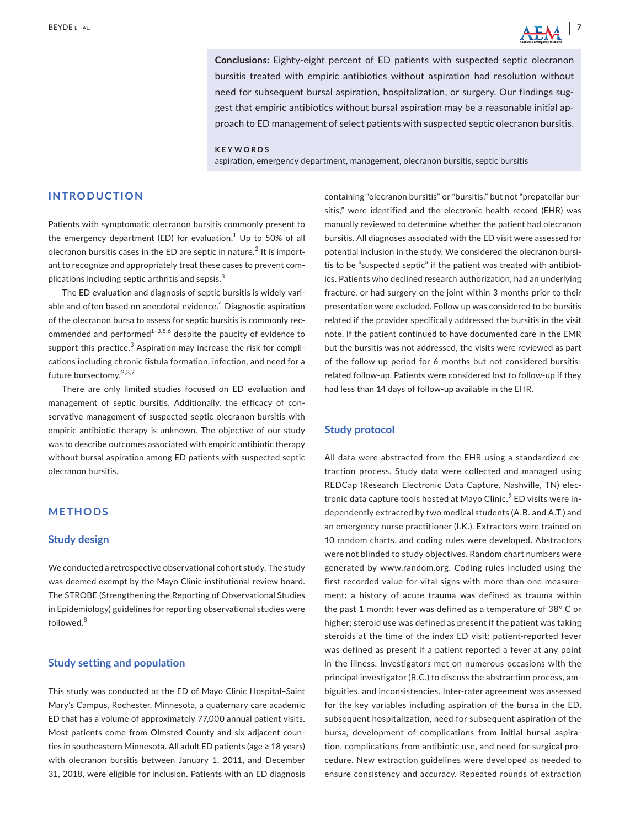**Conclusions:** Eighty-eight percent of ED patients with suspected septic olecranon bursitis treated with empiric antibiotics without aspiration had resolution without need for subsequent bursal aspiration, hospitalization, or surgery. Our findings suggest that empiric antibiotics without bursal aspiration may be a reasonable initial approach to ED management of select patients with suspected septic olecranon bursitis.

#### **KEYWORDS**

aspiration, emergency department, management, olecranon bursitis, septic bursitis

## **INTRODUCTION**

Patients with symptomatic olecranon bursitis commonly present to the emergency department (ED) for evaluation. $^1$  Up to 50% of all olecranon bursitis cases in the ED are septic in nature. $^2$  It is important to recognize and appropriately treat these cases to prevent complications including septic arthritis and sepsis. $3$ 

The ED evaluation and diagnosis of septic bursitis is widely variable and often based on anecdotal evidence.<sup>4</sup> Diagnostic aspiration of the olecranon bursa to assess for septic bursitis is commonly recommended and performed $1-3,5,6$  despite the paucity of evidence to support this practice. $^3$  Aspiration may increase the risk for complications including chronic fistula formation, infection, and need for a future bursectomy.2,3,7

There are only limited studies focused on ED evaluation and management of septic bursitis. Additionally, the efficacy of conservative management of suspected septic olecranon bursitis with empiric antibiotic therapy is unknown. The objective of our study was to describe outcomes associated with empiric antibiotic therapy without bursal aspiration among ED patients with suspected septic olecranon bursitis.

# **METHODS**

#### **Study design**

We conducted a retrospective observational cohort study. The study was deemed exempt by the Mayo Clinic institutional review board. The STROBE (Strengthening the Reporting of Observational Studies in Epidemiology) guidelines for reporting observational studies were followed.<sup>8</sup>

## **Study setting and population**

This study was conducted at the ED of Mayo Clinic Hospital–Saint Mary's Campus, Rochester, Minnesota, a quaternary care academic ED that has a volume of approximately 77,000 annual patient visits. Most patients come from Olmsted County and six adjacent counties in southeastern Minnesota. All adult ED patients (age ≥ 18 years) with olecranon bursitis between January 1, 2011, and December 31, 2018, were eligible for inclusion. Patients with an ED diagnosis

containing "olecranon bursitis" or "bursitis," but not "prepatellar bursitis," were identified and the electronic health record (EHR) was manually reviewed to determine whether the patient had olecranon bursitis. All diagnoses associated with the ED visit were assessed for potential inclusion in the study. We considered the olecranon bursitis to be "suspected septic" if the patient was treated with antibiotics. Patients who declined research authorization, had an underlying fracture, or had surgery on the joint within 3 months prior to their presentation were excluded. Follow up was considered to be bursitis related if the provider specifically addressed the bursitis in the visit note. If the patient continued to have documented care in the EMR but the bursitis was not addressed, the visits were reviewed as part of the follow-up period for 6 months but not considered bursitisrelated follow-up. Patients were considered lost to follow-up if they had less than 14 days of follow-up available in the EHR.

## **Study protocol**

All data were abstracted from the EHR using a standardized extraction process. Study data were collected and managed using REDCap (Research Electronic Data Capture, Nashville, TN) electronic data capture tools hosted at Mayo Clinic.<sup>9</sup> ED visits were independently extracted by two medical students (A.B. and A.T.) and an emergency nurse practitioner (I.K.). Extractors were trained on 10 random charts, and coding rules were developed. Abstractors were not blinded to study objectives. Random chart numbers were generated by [www.random.org](http://www.random.org). Coding rules included using the first recorded value for vital signs with more than one measurement; a history of acute trauma was defined as trauma within the past 1 month; fever was defined as a temperature of 38° C or higher; steroid use was defined as present if the patient was taking steroids at the time of the index ED visit; patient-reported fever was defined as present if a patient reported a fever at any point in the illness. Investigators met on numerous occasions with the principal investigator (R.C.) to discuss the abstraction process, ambiguities, and inconsistencies. Inter-rater agreement was assessed for the key variables including aspiration of the bursa in the ED, subsequent hospitalization, need for subsequent aspiration of the bursa, development of complications from initial bursal aspiration, complications from antibiotic use, and need for surgical procedure. New extraction guidelines were developed as needed to ensure consistency and accuracy. Repeated rounds of extraction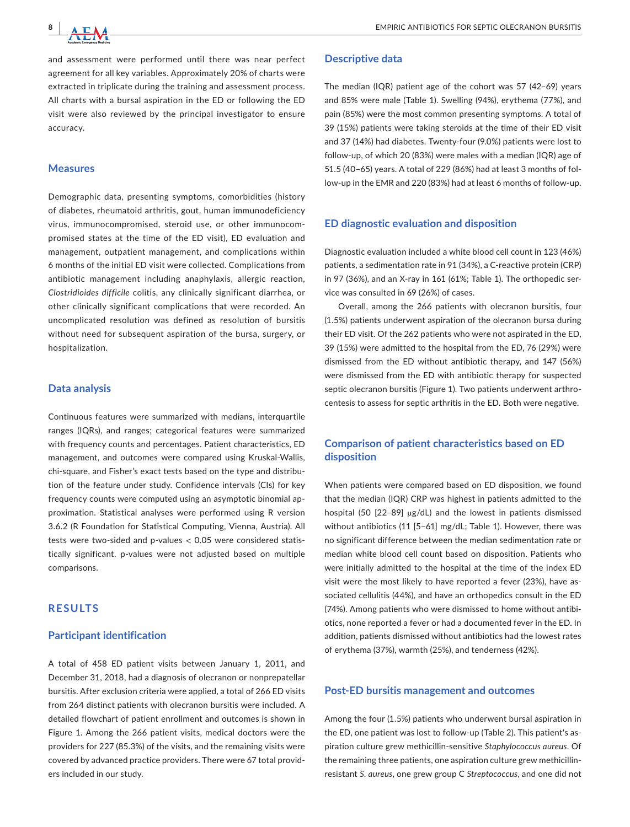

and assessment were performed until there was near perfect agreement for all key variables. Approximately 20% of charts were extracted in triplicate during the training and assessment process. All charts with a bursal aspiration in the ED or following the ED visit were also reviewed by the principal investigator to ensure accuracy.

## **Measures**

Demographic data, presenting symptoms, comorbidities (history of diabetes, rheumatoid arthritis, gout, human immunodeficiency virus, immunocompromised, steroid use, or other immunocompromised states at the time of the ED visit), ED evaluation and management, outpatient management, and complications within 6 months of the initial ED visit were collected. Complications from antibiotic management including anaphylaxis, allergic reaction, *Clostridioides difficile* colitis, any clinically significant diarrhea, or other clinically significant complications that were recorded. An uncomplicated resolution was defined as resolution of bursitis without need for subsequent aspiration of the bursa, surgery, or hospitalization.

## **Data analysis**

Continuous features were summarized with medians, interquartile ranges (IQRs), and ranges; categorical features were summarized with frequency counts and percentages. Patient characteristics, ED management, and outcomes were compared using Kruskal-Wallis, chi-square, and Fisher's exact tests based on the type and distribution of the feature under study. Confidence intervals (CIs) for key frequency counts were computed using an asymptotic binomial approximation. Statistical analyses were performed using R version 3.6.2 (R Foundation for Statistical Computing, Vienna, Austria). All tests were two-sided and p-values < 0.05 were considered statistically significant. p-values were not adjusted based on multiple comparisons.

## **RESULTS**

## **Participant identification**

A total of 458 ED patient visits between January 1, 2011, and December 31, 2018, had a diagnosis of olecranon or nonprepatellar bursitis. After exclusion criteria were applied, a total of 266 ED visits from 264 distinct patients with olecranon bursitis were included. A detailed flowchart of patient enrollment and outcomes is shown in Figure 1. Among the 266 patient visits, medical doctors were the providers for 227 (85.3%) of the visits, and the remaining visits were covered by advanced practice providers. There were 67 total providers included in our study.

## **Descriptive data**

The median (IQR) patient age of the cohort was 57 (42–69) years and 85% were male (Table 1). Swelling (94%), erythema (77%), and pain (85%) were the most common presenting symptoms. A total of 39 (15%) patients were taking steroids at the time of their ED visit and 37 (14%) had diabetes. Twenty-four (9.0%) patients were lost to follow-up, of which 20 (83%) were males with a median (IQR) age of 51.5 (40–65) years. A total of 229 (86%) had at least 3 months of follow-up in the EMR and 220 (83%) had at least 6 months of follow-up.

## **ED diagnostic evaluation and disposition**

Diagnostic evaluation included a white blood cell count in 123 (46%) patients, a sedimentation rate in 91 (34%), a C-reactive protein (CRP) in 97 (36%), and an X-ray in 161 (61%; Table 1). The orthopedic service was consulted in 69 (26%) of cases.

Overall, among the 266 patients with olecranon bursitis, four (1.5%) patients underwent aspiration of the olecranon bursa during their ED visit. Of the 262 patients who were not aspirated in the ED, 39 (15%) were admitted to the hospital from the ED, 76 (29%) were dismissed from the ED without antibiotic therapy, and 147 (56%) were dismissed from the ED with antibiotic therapy for suspected septic olecranon bursitis (Figure 1). Two patients underwent arthrocentesis to assess for septic arthritis in the ED. Both were negative.

# **Comparison of patient characteristics based on ED disposition**

When patients were compared based on ED disposition, we found that the median (IQR) CRP was highest in patients admitted to the hospital (50 [22–89] µg/dL) and the lowest in patients dismissed without antibiotics (11 [5–61] mg/dL; Table 1). However, there was no significant difference between the median sedimentation rate or median white blood cell count based on disposition. Patients who were initially admitted to the hospital at the time of the index ED visit were the most likely to have reported a fever (23%), have associated cellulitis (44%), and have an orthopedics consult in the ED (74%). Among patients who were dismissed to home without antibiotics, none reported a fever or had a documented fever in the ED. In addition, patients dismissed without antibiotics had the lowest rates of erythema (37%), warmth (25%), and tenderness (42%).

## **Post-ED bursitis management and outcomes**

Among the four (1.5%) patients who underwent bursal aspiration in the ED, one patient was lost to follow-up (Table 2). This patient's aspiration culture grew methicillin-sensitive *Staphylococcus aureus*. Of the remaining three patients, one aspiration culture grew methicillinresistant *S. aureus*, one grew group C *Streptococcus*, and one did not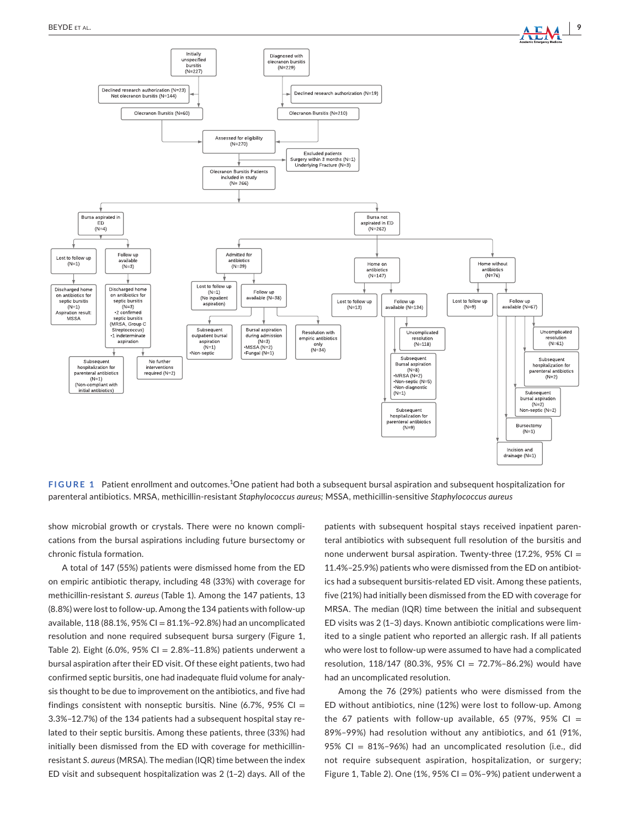

FIGURE 1 Patient enrollment and outcomes.<sup>1</sup>One patient had both a subsequent bursal aspiration and subsequent hospitalization for parenteral antibiotics. MRSA, methicillin-resistant *Staphylococcus aureus;* MSSA, methicillin-sensitive *Staphylococcus aureus*

show microbial growth or crystals. There were no known complications from the bursal aspirations including future bursectomy or chronic fistula formation.

A total of 147 (55%) patients were dismissed home from the ED on empiric antibiotic therapy, including 48 (33%) with coverage for methicillin-resistant *S. aureus* (Table 1). Among the 147 patients, 13 (8.8%) were lost to follow-up. Among the 134 patients with follow-up available,  $118(88.1\%, 95\% \text{ Cl} = 81.1\% - 92.8\%)$  had an uncomplicated resolution and none required subsequent bursa surgery (Figure 1, Table 2). Eight (6.0%, 95% CI =  $2.8\%$ -11.8%) patients underwent a bursal aspiration after their ED visit. Of these eight patients, two had confirmed septic bursitis, one had inadequate fluid volume for analysis thought to be due to improvement on the antibiotics, and five had findings consistent with nonseptic bursitis. Nine (6.7%, 95% CI = 3.3%–12.7%) of the 134 patients had a subsequent hospital stay related to their septic bursitis. Among these patients, three (33%) had initially been dismissed from the ED with coverage for methicillinresistant *S. aureus* (MRSA). The median (IQR) time between the index ED visit and subsequent hospitalization was 2 (1–2) days. All of the

patients with subsequent hospital stays received inpatient parenteral antibiotics with subsequent full resolution of the bursitis and none underwent bursal aspiration. Twenty-three (17.2%, 95% CI = 11.4%–25.9%) patients who were dismissed from the ED on antibiotics had a subsequent bursitis-related ED visit. Among these patients, five (21%) had initially been dismissed from the ED with coverage for MRSA. The median (IQR) time between the initial and subsequent ED visits was 2 (1–3) days. Known antibiotic complications were limited to a single patient who reported an allergic rash. If all patients who were lost to follow-up were assumed to have had a complicated resolution, 118/147 (80.3%, 95% CI = 72.7%–86.2%) would have had an uncomplicated resolution.

Among the 76 (29%) patients who were dismissed from the ED without antibiotics, nine (12%) were lost to follow-up. Among the 67 patients with follow-up available, 65 (97%, 95% CI = 89%–99%) had resolution without any antibiotics, and 61 (91%, 95% CI = 81%–96%) had an uncomplicated resolution (i.e., did not require subsequent aspiration, hospitalization, or surgery; Figure 1, Table 2). One (1%, 95% CI = 0%–9%) patient underwent a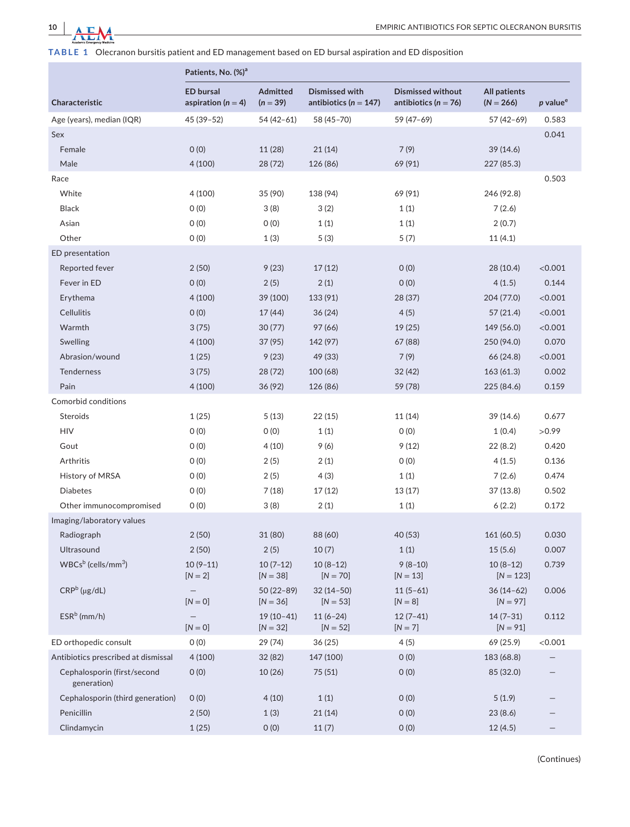

**TABLE 1** Olecranon bursitis patient and ED management based on ED bursal aspiration and ED disposition

|                                            | Patients, No. (%) <sup>a</sup>             |                           |                                                    |                                                      |                                    |                      |  |
|--------------------------------------------|--------------------------------------------|---------------------------|----------------------------------------------------|------------------------------------------------------|------------------------------------|----------------------|--|
| Characteristic                             | <b>ED bursal</b><br>aspiration ( $n = 4$ ) | Admitted<br>$(n = 39)$    | <b>Dismissed with</b><br>antibiotics ( $n = 147$ ) | <b>Dismissed without</b><br>antibiotics ( $n = 76$ ) | <b>All patients</b><br>$(N = 266)$ | p value <sup>e</sup> |  |
| Age (years), median (IQR)                  | 45 (39-52)                                 | 54 (42-61)                | 58 (45-70)                                         | 59 (47-69)                                           | 57 (42-69)                         | 0.583                |  |
| Sex                                        |                                            |                           |                                                    |                                                      |                                    | 0.041                |  |
| Female                                     | 0(0)                                       | 11 (28)                   | 21(14)                                             | 7(9)                                                 | 39 (14.6)                          |                      |  |
| Male                                       | 4(100)                                     | 28 (72)                   | 126 (86)                                           | 69 (91)                                              | 227 (85.3)                         |                      |  |
| Race                                       |                                            |                           |                                                    |                                                      |                                    | 0.503                |  |
| White                                      | 4(100)                                     | 35 (90)                   | 138 (94)                                           | 69 (91)                                              | 246 (92.8)                         |                      |  |
| <b>Black</b>                               | O(0)                                       | 3(8)                      | 3(2)                                               | 1(1)                                                 | 7(2.6)                             |                      |  |
| Asian                                      | O(0)                                       | O(0)                      | 1(1)                                               | 1(1)                                                 | 2(0.7)                             |                      |  |
| Other                                      | 0(0)                                       | 1(3)                      | 5(3)                                               | 5(7)                                                 | 11(4.1)                            |                      |  |
| ED presentation                            |                                            |                           |                                                    |                                                      |                                    |                      |  |
| Reported fever                             | 2(50)                                      | 9(23)                     | 17(12)                                             | O(0)                                                 | 28 (10.4)                          | < 0.001              |  |
| Fever in ED                                | 0(0)                                       | 2(5)                      | 2(1)                                               | 0(0)                                                 | 4(1.5)                             | 0.144                |  |
| Erythema                                   | 4(100)                                     | 39 (100)                  | 133 (91)                                           | 28 (37)                                              | 204 (77.0)                         | < 0.001              |  |
| <b>Cellulitis</b>                          | 0(0)                                       | 17(44)                    | 36(24)                                             | 4(5)                                                 | 57(21.4)                           | < 0.001              |  |
| Warmth                                     | 3(75)                                      | 30(77)                    | 97 (66)                                            | 19 (25)                                              | 149 (56.0)                         | < 0.001              |  |
| Swelling                                   | 4(100)                                     | 37 (95)                   | 142 (97)                                           | 67 (88)                                              | 250 (94.0)                         | 0.070                |  |
| Abrasion/wound                             | 1(25)                                      | 9(23)                     | 49 (33)                                            | 7(9)                                                 | 66 (24.8)                          | < 0.001              |  |
| Tenderness                                 | 3(75)                                      | 28 (72)                   | 100 (68)                                           | 32 (42)                                              | 163(61.3)                          | 0.002                |  |
| Pain                                       | 4(100)                                     | 36(92)                    | 126 (86)                                           | 59 (78)                                              | 225 (84.6)                         | 0.159                |  |
| Comorbid conditions                        |                                            |                           |                                                    |                                                      |                                    |                      |  |
| Steroids                                   | 1(25)                                      | 5(13)                     | 22(15)                                             | 11 (14)                                              | 39 (14.6)                          | 0.677                |  |
| <b>HIV</b>                                 | 0(0)                                       | 0(0)                      | 1(1)                                               | O(0)                                                 | 1(0.4)                             | >0.99                |  |
| Gout                                       | 0(0)                                       | 4(10)                     | 9(6)                                               | 9(12)                                                | 22(8.2)                            | 0.420                |  |
| Arthritis                                  | O(0)                                       | 2(5)                      | 2(1)                                               | O(0)                                                 | 4(1.5)                             | 0.136                |  |
| History of MRSA                            | 0(0)                                       | 2(5)                      | 4(3)                                               | 1(1)                                                 | 7(2.6)                             | 0.474                |  |
| <b>Diabetes</b>                            | 0(0)                                       | 7(18)                     | 17 (12)                                            | 13 (17)                                              | 37(13.8)                           | 0.502                |  |
| Other immunocompromised                    | 0(0)                                       | 3(8)                      | 2(1)                                               | 1(1)                                                 | 6(2.2)                             | 0.172                |  |
| Imaging/laboratory values                  |                                            |                           |                                                    |                                                      |                                    |                      |  |
| Radiograph                                 | 2(50)                                      | 31 (80)                   | 88 (60)                                            | 40 (53)                                              | 161 (60.5)                         | 0.030                |  |
| Ultrasound                                 | 2(50)                                      | 2(5)                      | 10(7)                                              | 1(1)                                                 | 15(5.6)                            | 0.007                |  |
| $WBCs^b$ (cells/mm <sup>3</sup> )          | $10(9-11)$<br>$[N = 2]$                    | $10(7-12)$<br>$[N = 38]$  | $10(8-12)$<br>$[N = 70]$                           | $9(8-10)$<br>$[N = 13]$                              | $10(8-12)$<br>$[N = 123]$          | 0.739                |  |
| $CRPb$ (µg/dL)                             | $\overline{\phantom{0}}$<br>$[N = 0]$      | 50 (22-89)<br>$[N = 36]$  | $32(14-50)$<br>$[N = 53]$                          | $11(5-61)$<br>$[N = 8]$                              | 36 (14 - 62)<br>$[N = 97]$         | 0.006                |  |
| $ESRb$ (mm/h)                              | $\qquad \qquad -$<br>$[N=0]$               | $19(10-41)$<br>$[N = 32]$ | $11(6-24)$<br>$[N = 52]$                           | $12(7-41)$<br>$[N = 7]$                              | $14(7-31)$<br>$[N = 91]$           | 0.112                |  |
| ED orthopedic consult                      | 0(0)                                       | 29 (74)                   | 36 (25)                                            | 4(5)                                                 | 69 (25.9)                          | < 0.001              |  |
| Antibiotics prescribed at dismissal        | 4(100)                                     | 32 (82)                   | 147 (100)                                          | O(0)                                                 | 183 (68.8)                         |                      |  |
| Cephalosporin (first/second<br>generation) | 0(0)                                       | 10(26)                    | 75 (51)                                            | O(0)                                                 | 85 (32.0)                          |                      |  |
| Cephalosporin (third generation)           | O(0)                                       | 4(10)                     | 1(1)                                               | O(0)                                                 | 5(1.9)                             |                      |  |
| Penicillin                                 | 2(50)                                      | 1(3)                      | 21(14)                                             | 0(0)                                                 | 23(8.6)                            |                      |  |
| Clindamycin                                | 1(25)                                      | 0(0)                      | 11(7)                                              | O(0)                                                 | 12(4.5)                            |                      |  |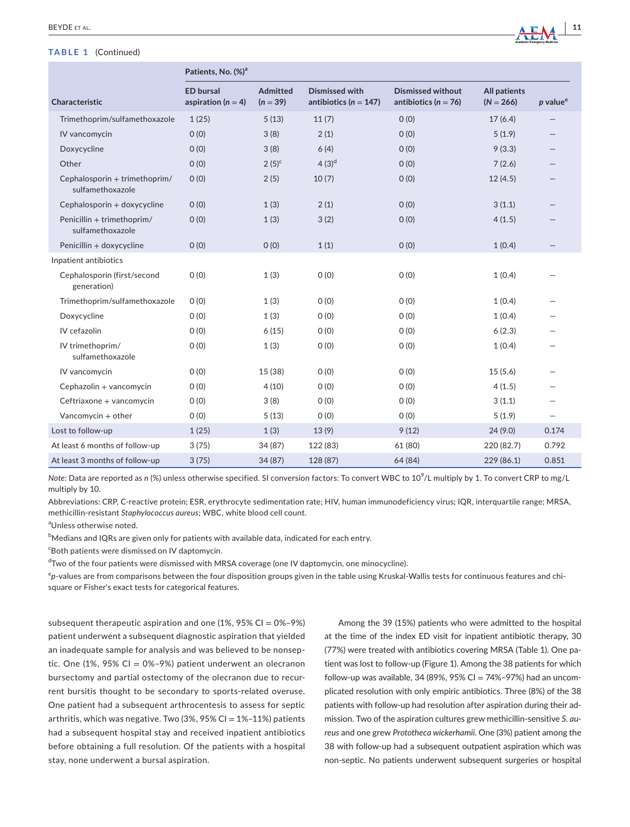## **TABLE 1** (Continued)

|                                                   | Patients, No. (%) <sup>a</sup>             |                        |                                                    |                                                      |                                    |                      |  |
|---------------------------------------------------|--------------------------------------------|------------------------|----------------------------------------------------|------------------------------------------------------|------------------------------------|----------------------|--|
| Characteristic                                    | <b>ED bursal</b><br>aspiration ( $n = 4$ ) | Admitted<br>$(n = 39)$ | <b>Dismissed with</b><br>antibiotics ( $n = 147$ ) | <b>Dismissed without</b><br>antibiotics ( $n = 76$ ) | <b>All patients</b><br>$(N = 266)$ | p value <sup>e</sup> |  |
| Trimethoprim/sulfamethoxazole                     | 1(25)                                      | 5(13)                  | 11(7)                                              | 0(0)                                                 | 17(6.4)                            |                      |  |
| IV vancomycin                                     | O(0)                                       | 3(8)                   | 2(1)                                               | O(0)                                                 | 5(1.9)                             |                      |  |
| Doxycycline                                       | O(0)                                       | 3(8)                   | 6(4)                                               | O(0)                                                 | 9(3.3)                             |                      |  |
| Other                                             | O(0)                                       | $2(5)^{c}$             | $4(3)^d$                                           | O(0)                                                 | 7(2.6)                             |                      |  |
| Cephalosporin + trimethoprim/<br>sulfamethoxazole | O(0)                                       | 2(5)                   | 10(7)                                              | O(0)                                                 | 12(4.5)                            |                      |  |
| Cephalosporin + doxycycline                       | O(0)                                       | 1(3)                   | 2(1)                                               | O(0)                                                 | 3(1.1)                             |                      |  |
| Penicillin + trimethoprim/<br>sulfamethoxazole    | O(0)                                       | 1(3)                   | 3(2)                                               | O(0)                                                 | 4(1.5)                             |                      |  |
| Penicillin + doxycycline                          | O(0)                                       | 0(0)                   | 1(1)                                               | O(0)                                                 | 1(0.4)                             |                      |  |
| Inpatient antibiotics                             |                                            |                        |                                                    |                                                      |                                    |                      |  |
| Cephalosporin (first/second<br>generation)        | O(0)                                       | 1(3)                   | O(0)                                               | O(0)                                                 | 1(0.4)                             |                      |  |
| Trimethoprim/sulfamethoxazole                     | O(0)                                       | 1(3)                   | O(0)                                               | O(0)                                                 | 1(0.4)                             |                      |  |
| Doxycycline                                       | O(0)                                       | 1(3)                   | O(0)                                               | O(0)                                                 | 1(0.4)                             |                      |  |
| IV cefazolin                                      | O(0)                                       | 6(15)                  | O(0)                                               | O(0)                                                 | 6(2.3)                             |                      |  |
| IV trimethoprim/<br>sulfamethoxazole              | O(0)                                       | 1(3)                   | O(0)                                               | O(0)                                                 | 1(0.4)                             |                      |  |
| IV vancomycin                                     | 0(0)                                       | 15 (38)                | O(0)                                               | O(0)                                                 | 15(5.6)                            |                      |  |
| Cephazolin + vancomycin                           | O(0)                                       | 4(10)                  | 0(0)                                               | O(0)                                                 | 4(1.5)                             |                      |  |
| Ceftriaxone + vancomycin                          | 0(0)                                       | 3(8)                   | 0(0)                                               | O(0)                                                 | 3(1.1)                             |                      |  |
| Vancomvcin $+$ other                              | O(0)                                       | 5(13)                  | O(0)                                               | O(0)                                                 | 5(1.9)                             |                      |  |
| Lost to follow-up                                 | 1(25)                                      | 1(3)                   | 13(9)                                              | 9(12)                                                | 24(9.0)                            | 0.174                |  |
| At least 6 months of follow-up                    | 3(75)                                      | 34 (87)                | 122 (83)                                           | 61 (80)                                              | 220 (82.7)                         | 0.792                |  |
| At least 3 months of follow-up                    | 3(75)                                      | 34(87)                 | 128 (87)                                           | 64 (84)                                              | 229 (86.1)                         | 0.851                |  |

*Note:* Data are reported as *n* (%) unless otherwise specified. SI conversion factors: To convert WBC to 10<sup>9</sup> /L multiply by 1. To convert CRP to mg/L multiply by 10.

Abbreviations: CRP, C-reactive protein; ESR, erythrocyte sedimentation rate; HIV, human immunodeficiency virus; IQR, interquartile range; MRSA, methicillin-resistant *Staphylococcus aureus*; WBC, white blood cell count.

<sup>a</sup>Unless otherwise noted.

 $^{\rm b}$ Medians and IQRs are given only for patients with available data, indicated for each entry.

<sup>c</sup>Both patients were dismissed on IV daptomycin.

<sup>d</sup> Two of the four patients were dismissed with MRSA coverage (one IV daptomycin, one minocycline).

e *p*-values are from comparisons between the four disposition groups given in the table using Kruskal-Wallis tests for continuous features and chisquare or Fisher's exact tests for categorical features.

subsequent therapeutic aspiration and one  $(1\%, 95\% \text{ CI} = 0\% - 9\%)$ patient underwent a subsequent diagnostic aspiration that yielded an inadequate sample for analysis and was believed to be nonseptic. One  $(1\%$ , 95% CI = 0%-9%) patient underwent an olecranon bursectomy and partial ostectomy of the olecranon due to recurrent bursitis thought to be secondary to sports-related overuse. One patient had a subsequent arthrocentesis to assess for septic arthritis, which was negative. Two (3%, 95% CI =  $1\%$ -11%) patients had a subsequent hospital stay and received inpatient antibiotics before obtaining a full resolution. Of the patients with a hospital stay, none underwent a bursal aspiration.

Among the 39 (15%) patients who were admitted to the hospital at the time of the index ED visit for inpatient antibiotic therapy, 30 (77%) were treated with antibiotics covering MRSA (Table 1). One patient was lost to follow-up (Figure 1). Among the 38 patients for which follow-up was available, 34 (89%, 95% CI = 74%-97%) had an uncomplicated resolution with only empiric antibiotics. Three (8%) of the 38 patients with follow-up had resolution after aspiration during their admission. Two of the aspiration cultures grew methicillin-sensitive *S. aureus* and one grew *Prototheca wickerhamii*. One (3%) patient among the 38 with follow-up had a subsequent outpatient aspiration which was non-septic. No patients underwent subsequent surgeries or hospital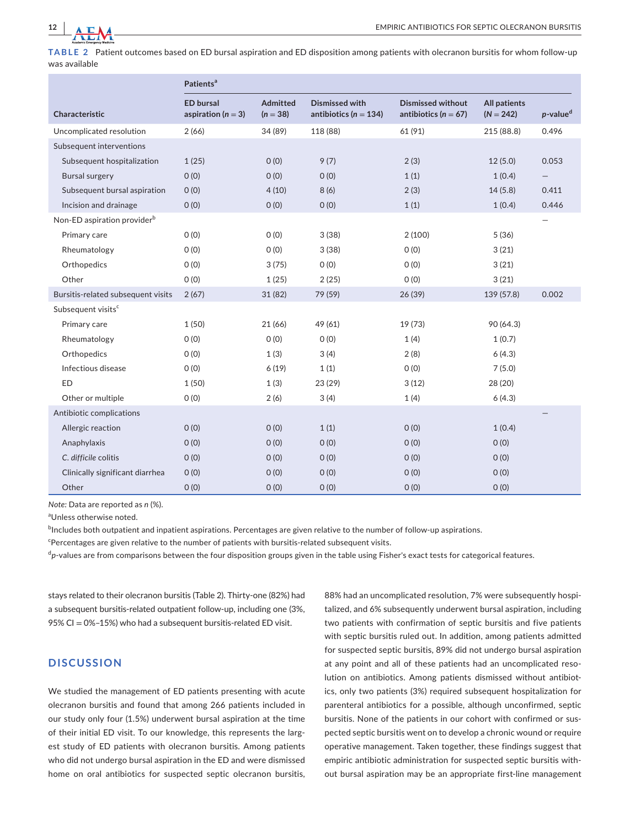

**TABLE 2** Patient outcomes based on ED bursal aspiration and ED disposition among patients with olecranon bursitis for whom follow-up was available

|                                         | Patients <sup>a</sup>                      |                               |                                                    |                                                      |                                    |                         |
|-----------------------------------------|--------------------------------------------|-------------------------------|----------------------------------------------------|------------------------------------------------------|------------------------------------|-------------------------|
| Characteristic                          | <b>ED bursal</b><br>aspiration ( $n = 3$ ) | <b>Admitted</b><br>$(n = 38)$ | <b>Dismissed with</b><br>antibiotics ( $n = 134$ ) | <b>Dismissed without</b><br>antibiotics ( $n = 67$ ) | <b>All patients</b><br>$(N = 242)$ | $p$ -value <sup>d</sup> |
| Uncomplicated resolution                | 2(66)                                      | 34 (89)                       | 118 (88)                                           | 61 (91)                                              | 215 (88.8)                         | 0.496                   |
| Subsequent interventions                |                                            |                               |                                                    |                                                      |                                    |                         |
| Subsequent hospitalization              | 1(25)                                      | O(0)                          | 9(7)                                               | 2(3)                                                 | 12(5.0)                            | 0.053                   |
| <b>Bursal surgery</b>                   | O(0)                                       | O(0)                          | O(0)                                               | 1(1)                                                 | 1(0.4)                             |                         |
| Subsequent bursal aspiration            | O(0)                                       | 4(10)                         | 8(6)                                               | 2(3)                                                 | 14(5.8)                            | 0.411                   |
| Incision and drainage                   | O(0)                                       | O(0)                          | O(0)                                               | 1(1)                                                 | 1(0.4)                             | 0.446                   |
| Non-ED aspiration provider <sup>b</sup> |                                            |                               |                                                    |                                                      |                                    |                         |
| Primary care                            | O(0)                                       | O(0)                          | 3(38)                                              | 2(100)                                               | 5(36)                              |                         |
| Rheumatology                            | O(0)                                       | O(0)                          | 3(38)                                              | O(0)                                                 | 3(21)                              |                         |
| Orthopedics                             | O(0)                                       | 3(75)                         | O(0)                                               | O(0)                                                 | 3(21)                              |                         |
| Other                                   | O(0)                                       | 1(25)                         | 2(25)                                              | O(0)                                                 | 3(21)                              |                         |
| Bursitis-related subsequent visits      | 2(67)                                      | 31(82)                        | 79 (59)                                            | 26 (39)                                              | 139 (57.8)                         | 0.002                   |
| Subsequent visits <sup>c</sup>          |                                            |                               |                                                    |                                                      |                                    |                         |
| Primary care                            | 1(50)                                      | 21 (66)                       | 49 (61)                                            | 19 (73)                                              | 90 (64.3)                          |                         |
| Rheumatology                            | O(0)                                       | O(0)                          | O(0)                                               | 1(4)                                                 | 1(0.7)                             |                         |
| Orthopedics                             | O(0)                                       | 1(3)                          | 3(4)                                               | 2(8)                                                 | 6(4.3)                             |                         |
| Infectious disease                      | O(0)                                       | 6(19)                         | 1(1)                                               | O(0)                                                 | 7(5.0)                             |                         |
| <b>ED</b>                               | 1(50)                                      | 1(3)                          | 23 (29)                                            | 3(12)                                                | 28 (20)                            |                         |
| Other or multiple                       | O(0)                                       | 2(6)                          | 3(4)                                               | 1(4)                                                 | 6(4.3)                             |                         |
| Antibiotic complications                |                                            |                               |                                                    |                                                      |                                    |                         |
| Allergic reaction                       | O(0)                                       | O(0)                          | 1(1)                                               | O(0)                                                 | 1(0.4)                             |                         |
| Anaphylaxis                             | O(0)                                       | O(0)                          | O(0)                                               | O(0)                                                 | O(0)                               |                         |
| C. difficile colitis                    | O(0)                                       | O(0)                          | O(0)                                               | O(0)                                                 | O(0)                               |                         |
| Clinically significant diarrhea         | O(0)                                       | O(0)                          | O(0)                                               | O(0)                                                 | O(0)                               |                         |
| Other                                   | 0(0)                                       | O(0)                          | O(0)                                               | O(0)                                                 | O(0)                               |                         |

*Note:* Data are reported as *n* (%).

<sup>a</sup>Unless otherwise noted.

 $^{\rm b}$ Includes both outpatient and inpatient aspirations. Percentages are given relative to the number of follow-up aspirations.

Percentages are given relative to the number of patients with bursitis-related subsequent visits.

<sup>d</sup>p-values are from comparisons between the four disposition groups given in the table using Fisher's exact tests for categorical features.

stays related to their olecranon bursitis (Table 2). Thirty-one (82%) had a subsequent bursitis-related outpatient follow-up, including one (3%, 95% CI = 0%–15%) who had a subsequent bursitis-related ED visit.

# **DISCUSSION**

We studied the management of ED patients presenting with acute olecranon bursitis and found that among 266 patients included in our study only four (1.5%) underwent bursal aspiration at the time of their initial ED visit. To our knowledge, this represents the largest study of ED patients with olecranon bursitis. Among patients who did not undergo bursal aspiration in the ED and were dismissed home on oral antibiotics for suspected septic olecranon bursitis,

88% had an uncomplicated resolution, 7% were subsequently hospitalized, and 6% subsequently underwent bursal aspiration, including two patients with confirmation of septic bursitis and five patients with septic bursitis ruled out. In addition, among patients admitted for suspected septic bursitis, 89% did not undergo bursal aspiration at any point and all of these patients had an uncomplicated resolution on antibiotics. Among patients dismissed without antibiotics, only two patients (3%) required subsequent hospitalization for parenteral antibiotics for a possible, although unconfirmed, septic bursitis. None of the patients in our cohort with confirmed or suspected septic bursitis went on to develop a chronic wound or require operative management. Taken together, these findings suggest that empiric antibiotic administration for suspected septic bursitis without bursal aspiration may be an appropriate first-line management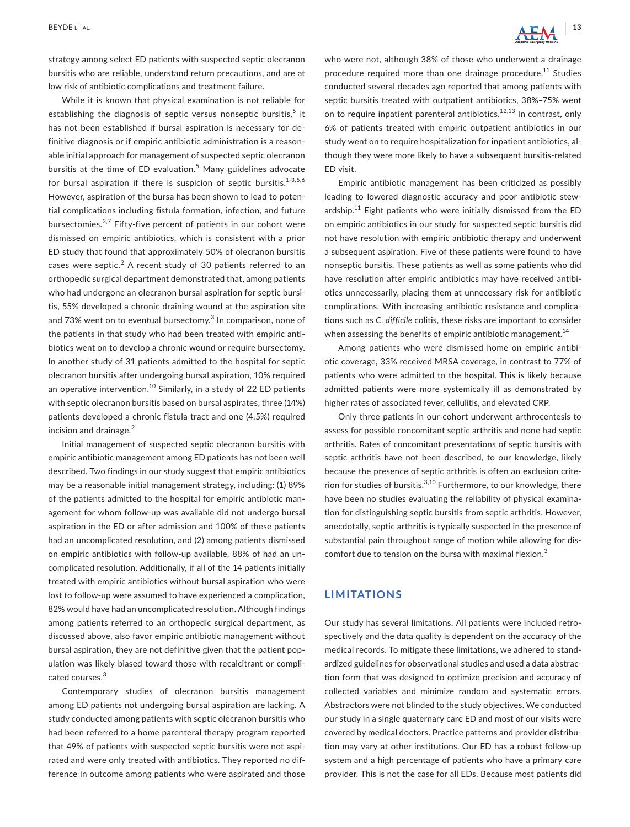strategy among select ED patients with suspected septic olecranon bursitis who are reliable, understand return precautions, and are at low risk of antibiotic complications and treatment failure.

While it is known that physical examination is not reliable for establishing the diagnosis of septic versus nonseptic bursitis, $5$  it has not been established if bursal aspiration is necessary for definitive diagnosis or if empiric antibiotic administration is a reasonable initial approach for management of suspected septic olecranon bursitis at the time of ED evaluation.<sup>5</sup> Many guidelines advocate for bursal aspiration if there is suspicion of septic bursitis. $1-3,5,6$ However, aspiration of the bursa has been shown to lead to potential complications including fistula formation, infection, and future bursectomies.<sup>3,7</sup> Fifty-five percent of patients in our cohort were dismissed on empiric antibiotics, which is consistent with a prior ED study that found that approximately 50% of olecranon bursitis cases were septic. $^2$  A recent study of 30 patients referred to an orthopedic surgical department demonstrated that, among patients who had undergone an olecranon bursal aspiration for septic bursitis, 55% developed a chronic draining wound at the aspiration site and 73% went on to eventual bursectomy.<sup>3</sup> In comparison, none of the patients in that study who had been treated with empiric antibiotics went on to develop a chronic wound or require bursectomy. In another study of 31 patients admitted to the hospital for septic olecranon bursitis after undergoing bursal aspiration, 10% required an operative intervention.<sup>10</sup> Similarly, in a study of 22 ED patients with septic olecranon bursitis based on bursal aspirates, three (14%) patients developed a chronic fistula tract and one (4.5%) required incision and drainage. $2$ 

Initial management of suspected septic olecranon bursitis with empiric antibiotic management among ED patients has not been well described. Two findings in our study suggest that empiric antibiotics may be a reasonable initial management strategy, including: (1) 89% of the patients admitted to the hospital for empiric antibiotic management for whom follow-up was available did not undergo bursal aspiration in the ED or after admission and 100% of these patients had an uncomplicated resolution, and (2) among patients dismissed on empiric antibiotics with follow-up available, 88% of had an uncomplicated resolution. Additionally, if all of the 14 patients initially treated with empiric antibiotics without bursal aspiration who were lost to follow-up were assumed to have experienced a complication, 82% would have had an uncomplicated resolution. Although findings among patients referred to an orthopedic surgical department, as discussed above, also favor empiric antibiotic management without bursal aspiration, they are not definitive given that the patient population was likely biased toward those with recalcitrant or complicated courses.<sup>3</sup>

Contemporary studies of olecranon bursitis management among ED patients not undergoing bursal aspiration are lacking. A study conducted among patients with septic olecranon bursitis who had been referred to a home parenteral therapy program reported that 49% of patients with suspected septic bursitis were not aspirated and were only treated with antibiotics. They reported no difference in outcome among patients who were aspirated and those who were not, although 38% of those who underwent a drainage procedure required more than one drainage procedure.<sup>11</sup> Studies conducted several decades ago reported that among patients with septic bursitis treated with outpatient antibiotics, 38%–75% went on to require inpatient parenteral antibiotics.<sup>12,13</sup> In contrast, only 6% of patients treated with empiric outpatient antibiotics in our study went on to require hospitalization for inpatient antibiotics, although they were more likely to have a subsequent bursitis-related ED visit.

Empiric antibiotic management has been criticized as possibly leading to lowered diagnostic accuracy and poor antibiotic stewardship. $11$  Eight patients who were initially dismissed from the ED on empiric antibiotics in our study for suspected septic bursitis did not have resolution with empiric antibiotic therapy and underwent a subsequent aspiration. Five of these patients were found to have nonseptic bursitis. These patients as well as some patients who did have resolution after empiric antibiotics may have received antibiotics unnecessarily, placing them at unnecessary risk for antibiotic complications. With increasing antibiotic resistance and complications such as *C. difficile* colitis, these risks are important to consider when assessing the benefits of empiric antibiotic management.<sup>14</sup>

Among patients who were dismissed home on empiric antibiotic coverage, 33% received MRSA coverage, in contrast to 77% of patients who were admitted to the hospital. This is likely because admitted patients were more systemically ill as demonstrated by higher rates of associated fever, cellulitis, and elevated CRP.

Only three patients in our cohort underwent arthrocentesis to assess for possible concomitant septic arthritis and none had septic arthritis. Rates of concomitant presentations of septic bursitis with septic arthritis have not been described, to our knowledge, likely because the presence of septic arthritis is often an exclusion criterion for studies of bursitis.<sup>3,10</sup> Furthermore, to our knowledge, there have been no studies evaluating the reliability of physical examination for distinguishing septic bursitis from septic arthritis. However, anecdotally, septic arthritis is typically suspected in the presence of substantial pain throughout range of motion while allowing for discomfort due to tension on the bursa with maximal flexion.<sup>3</sup>

# **LIMITATIONS**

Our study has several limitations. All patients were included retrospectively and the data quality is dependent on the accuracy of the medical records. To mitigate these limitations, we adhered to standardized guidelines for observational studies and used a data abstraction form that was designed to optimize precision and accuracy of collected variables and minimize random and systematic errors. Abstractors were not blinded to the study objectives. We conducted our study in a single quaternary care ED and most of our visits were covered by medical doctors. Practice patterns and provider distribution may vary at other institutions. Our ED has a robust follow-up system and a high percentage of patients who have a primary care provider. This is not the case for all EDs. Because most patients did